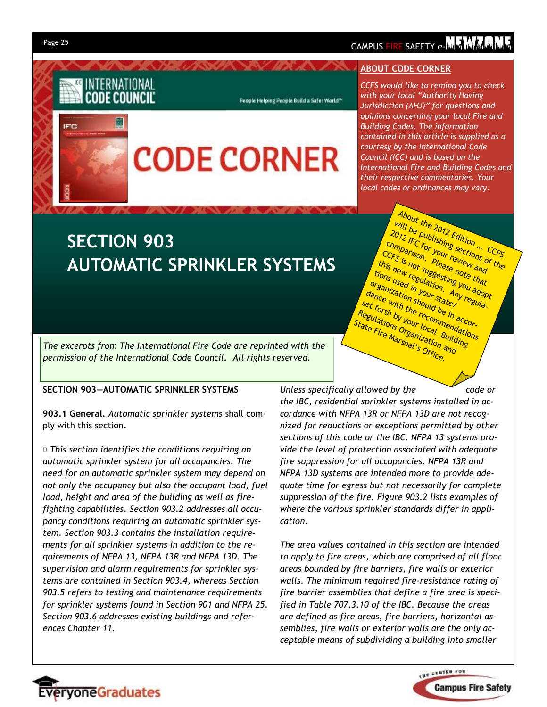**IFC** 

INTERNATIONAL CODE COUNCIL

## CAMPUS FIRE SAFETY e-MATMA M

### **ABOUT CODE CORNER**

*CCFS would like to remind you to check with your local "Authority Having Jurisdiction (AHJ)" for questions and opinions concerning your local Fire and Building Codes. The information contained in this article is supplied as a courtesy by the International Code Council (ICC) and is based on the International Fire and Building Codes and their respective commentaries. Your local codes or ordinances may vary.* 

About the 2012 Edition ... CCFS

will be publishing sections of the<br>Comparison, Please right and<br>this is not suggesting you and<br>tions used in your and adopt 2012 IFC for your review and comparison. Please note that CCFS is not suggesting you adopt this new regulation. Any regula-<br>tions used in your stating you and<br>reanization your standard adoption.<br>Ince with un should a tell regula-

organization should be in accordance with the recommendations set forth by your local Building Regulations Organization and State Fire Marshal's Office.

# **SECTION 903 AUTOMATIC SPRINKLER SYSTEMS**

**CODE CORNER** 

People Helping People Build a Safer World<sup>\*\*</sup>

*The excerpts from The International Fire Code are reprinted with the permission of the International Code Council. All rights reserved.*

#### **SECTION 903—AUTOMATIC SPRINKLER SYSTEMS**

**903.1 General.** *Automatic sprinkler systems* shall comply with this section.

*This section identifies the conditions requiring an automatic sprinkler system for all occupancies. The need for an automatic sprinkler system may depend on not only the occupancy but also the occupant load, fuel load, height and area of the building as well as firefighting capabilities. Section 903.2 addresses all occupancy conditions requiring an automatic sprinkler system. Section 903.3 contains the installation requirements for all sprinkler systems in addition to the requirements of NFPA 13, NFPA 13R and NFPA 13D. The supervision and alarm requirements for sprinkler systems are contained in Section 903.4, whereas Section 903.5 refers to testing and maintenance requirements for sprinkler systems found in Section 901 and NFPA 25. Section 903.6 addresses existing buildings and references Chapter 11.* 

*Unless specifically allowed by the code or the IBC, residential sprinkler systems installed in accordance with NFPA 13R or NFPA 13D are not recognized for reductions or exceptions permitted by other sections of this code or the IBC. NFPA 13 systems provide the level of protection associated with adequate fire suppression for all occupancies. NFPA 13R and NFPA 13D systems are intended more to provide adequate time for egress but not necessarily for complete suppression of the fire. Figure 903.2 lists examples of where the various sprinkler standards differ in application.* 

*The area values contained in this section are intended to apply to fire areas, which are comprised of all floor areas bounded by fire barriers, fire walls or exterior walls. The minimum required fire-resistance rating of fire barrier assemblies that define a fire area is specified in Table 707.3.10 of the IBC. Because the areas are defined as fire areas, fire barriers, horizontal assemblies, fire walls or exterior walls are the only acceptable means of subdividing a building into smaller* 



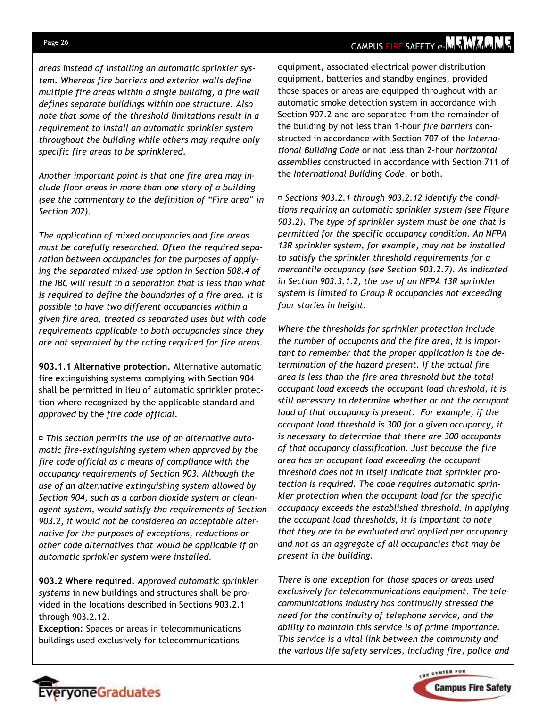## CAMPUS FIRE SAFETY e-MAY MAY MAY

*areas instead of installing an automatic sprinkler system. Whereas fire barriers and exterior walls define multiple fire areas within a single building, a fire wall defines separate buildings within one structure. Also note that some of the threshold limitations result in a requirement to install an automatic sprinkler system throughout the building while others may require only specific fire areas to be sprinklered.* 

*Another important point is that one fire area may include floor areas in more than one story of a building (see the commentary to the definition of "Fire area" in Section 202).* 

*The application of mixed occupancies and fire areas must be carefully researched. Often the required separation between occupancies for the purposes of applying the separated mixed-use option in Section 508.4 of the IBC will result in a separation that is less than what is required to define the boundaries of a fire area. It is possible to have two different occupancies within a given fire area, treated as separated uses but with code requirements applicable to both occupancies since they are not separated by the rating required for fire areas.* 

**903.1.1 Alternative protection.** Alternative automatic fire extinguishing systems complying with Section 904 shall be permitted in lieu of automatic sprinkler protection where recognized by the applicable standard and *approved* by the *fire code official.* 

*This section permits the use of an alternative automatic fire-extinguishing system when approved by the fire code official as a means of compliance with the occupancy requirements of Section 903. Although the use of an alternative extinguishing system allowed by Section 904, such as a carbon dioxide system or cleanagent system, would satisfy the requirements of Section 903.2, it would not be considered an acceptable alternative for the purposes of exceptions, reductions or other code alternatives that would be applicable if an automatic sprinkler system were installed.* 

**903.2 Where required.** *Approved automatic sprinkler systems* in new buildings and structures shall be provided in the locations described in Sections 903.2.1 through 903.2.12.

**Exception:** Spaces or areas in telecommunications buildings used exclusively for telecommunications

EveryoneGraduates

equipment, associated electrical power distribution equipment, batteries and standby engines, provided those spaces or areas are equipped throughout with an automatic smoke detection system in accordance with Section 907.2 and are separated from the remainder of the building by not less than 1-hour *fire barriers* constructed in accordance with Section 707 of the *International Building Code* or not less than 2-hour *horizontal assemblies* constructed in accordance with Section 711 of the *International Building Code,* or both.

*Sections 903.2.1 through 903.2.12 identify the conditions requiring an automatic sprinkler system (see Figure 903.2). The type of sprinkler system must be one that is permitted for the specific occupancy condition. An NFPA 13R sprinkler system, for example, may not be installed to satisfy the sprinkler threshold requirements for a mercantile occupancy (see Section 903.2.7). As indicated in Section 903.3.1.2, the use of an NFPA 13R sprinkler system is limited to Group R occupancies not exceeding four stories in height.* 

*Where the thresholds for sprinkler protection include the number of occupants and the fire area, it is important to remember that the proper application is the determination of the hazard present. If the actual fire area is less than the fire area threshold but the total occupant load exceeds the occupant load threshold, it is still necessary to determine whether or not the occupant load of that occupancy is present. For example, if the occupant load threshold is 300 for a given occupancy, it is necessary to determine that there are 300 occupants of that occupancy classification. Just because the fire area has an occupant load exceeding the occupant threshold does not in itself indicate that sprinkler protection is required. The code requires automatic sprinkler protection when the occupant load for the specific occupancy exceeds the established threshold. In applying the occupant load thresholds, it is important to note that they are to be evaluated and applied per occupancy and not as an aggregate of all occupancies that may be present in the building.* 

*There is one exception for those spaces or areas used exclusively for telecommunications equipment. The telecommunications industry has continually stressed the need for the continuity of telephone service, and the ability to maintain this service is of prime importance. This service is a vital link between the community and the various life safety services, including fire, police and* 



### Page 26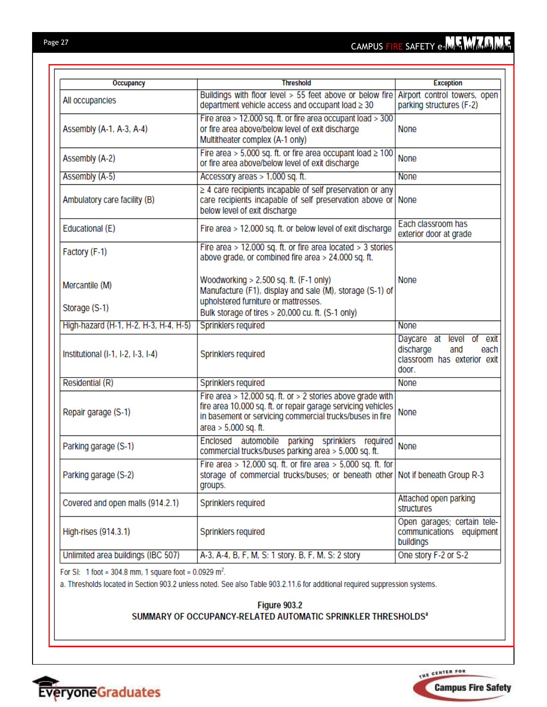| Occupancy                             | <b>Threshold</b>                                                                                                                                                                                                 | <b>Exception</b>                                                                                      |
|---------------------------------------|------------------------------------------------------------------------------------------------------------------------------------------------------------------------------------------------------------------|-------------------------------------------------------------------------------------------------------|
| All occupancies                       | Buildings with floor level > 55 feet above or below fire<br>department vehicle access and occupant load ≥ 30                                                                                                     | Airport control towers, open<br>parking structures (F-2)                                              |
| Assembly (A-1, A-3, A-4)              | Fire area > 12,000 sq. ft. or fire area occupant load > 300<br>or fire area above/below level of exit discharge<br>Multitheater complex (A-1 only)                                                               | <b>None</b>                                                                                           |
| Assembly (A-2)                        | Fire area > 5,000 sq. ft. or fire area occupant load ≥ 100<br>or fire area above/below level of exit discharge                                                                                                   | None                                                                                                  |
| Assembly (A-5)                        | Accessory areas > 1,000 sq. ft.                                                                                                                                                                                  | <b>None</b>                                                                                           |
| Ambulatory care facility (B)          | $\geq$ 4 care recipients incapable of self preservation or any<br>care recipients incapable of self preservation above or<br>below level of exit discharge                                                       | None                                                                                                  |
| Educational (E)                       | Fire area > 12,000 sq. ft. or below level of exit discharge                                                                                                                                                      | Each classroom has<br>exterior door at grade                                                          |
| Factory (F-1)                         | Fire area > 12,000 sq. ft. or fire area located > 3 stories<br>above grade, or combined fire area > 24,000 sq. ft.                                                                                               |                                                                                                       |
| Mercantile (M)                        | Woodworking $> 2,500$ sq. ft. (F-1 only)<br>Manufacture (F1), display and sale (M), storage (S-1) of<br>upholstered furniture or mattresses.                                                                     | None                                                                                                  |
| Storage (S-1)                         | Bulk storage of tires > 20,000 cu. ft. (S-1 only)                                                                                                                                                                |                                                                                                       |
| High-hazard (H-1, H-2, H-3, H-4, H-5) | Sprinklers required                                                                                                                                                                                              | <b>None</b>                                                                                           |
| Institutional (I-1, I-2, I-3, I-4)    | Sprinklers required                                                                                                                                                                                              | Daycare at<br>level<br>exit<br>Οf<br>discharge<br>and<br>each<br>classroom has exterior exit<br>door. |
| Residential (R)                       | Sprinklers required                                                                                                                                                                                              | None                                                                                                  |
| Repair garage (S-1)                   | Fire area > 12,000 sq. ft. or > 2 stories above grade with<br>fire area 10,000 sq. ft. or repair garage servicing vehicles<br>in basement or servicing commercial trucks/buses in fire<br>area $> 5,000$ sq. ft. | None                                                                                                  |
| Parking garage (S-1)                  | automobile parking sprinklers required<br>Enclosed<br>commercial trucks/buses parking area > 5,000 sq. ft.                                                                                                       | None                                                                                                  |
| Parking garage (S-2)                  | Fire area > 12,000 sq. ft. or fire area > 5,000 sq. ft. for<br>storage of commercial trucks/buses; or beneath other   Not if beneath Group R-3<br>groups.                                                        |                                                                                                       |
| Covered and open malls (914.2.1)      | Sprinklers required                                                                                                                                                                                              | Attached open parking<br>structures                                                                   |
| High-rises (914.3.1)                  | Sprinklers required                                                                                                                                                                                              | Open garages; certain tele-<br>communications equipment<br>buildings                                  |
| Unlimited area buildings (IBC 507)    | A-3, A-4, B, F, M, S: 1 story. B, F, M, S: 2 story                                                                                                                                                               | One story F-2 or S-2                                                                                  |

For SI: 1 foot = 304.8 mm, 1 square foot =  $0.0929$  m<sup>2</sup>.

a. Thresholds located in Section 903.2 unless noted. See also Table 903.2.11.6 for additional required suppression systems.

### Figure 903.2 SUMMARY OF OCCUPANCY-RELATED AUTOMATIC SPRINKLER THRESHOLDS<sup>a</sup>



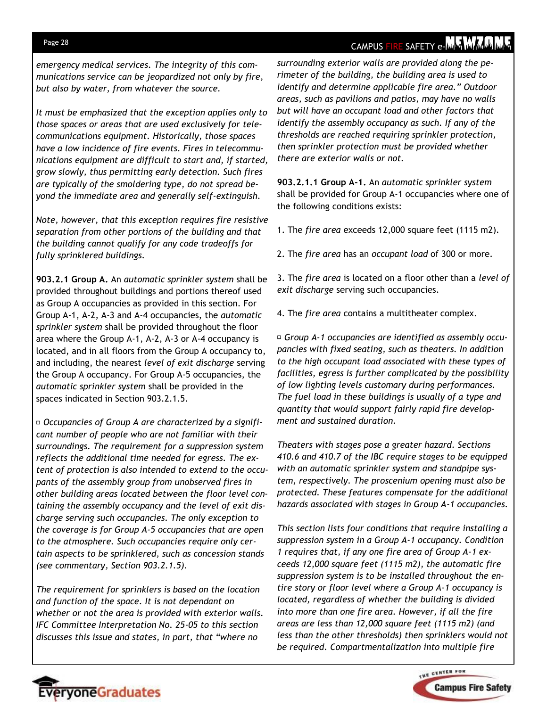## CAMPUS FIRE SAFETY e-MM MMMM

*emergency medical services. The integrity of this communications service can be jeopardized not only by fire, but also by water, from whatever the source.* 

*It must be emphasized that the exception applies only to those spaces or areas that are used exclusively for telecommunications equipment. Historically, those spaces have a low incidence of fire events. Fires in telecommunications equipment are difficult to start and, if started, grow slowly, thus permitting early detection. Such fires are typically of the smoldering type, do not spread beyond the immediate area and generally self-extinguish.* 

*Note, however, that this exception requires fire resistive separation from other portions of the building and that the building cannot qualify for any code tradeoffs for fully sprinklered buildings.* 

**903.2.1 Group A.** An *automatic sprinkler system* shall be provided throughout buildings and portions thereof used as Group A occupancies as provided in this section. For Group A-1, A-2, A-3 and A-4 occupancies, the *automatic sprinkler system* shall be provided throughout the floor area where the Group A-1, A-2, A-3 or A-4 occupancy is located, and in all floors from the Group A occupancy to, and including, the nearest *level of exit discharge* serving the Group A occupancy. For Group A-5 occupancies, the *automatic sprinkler system* shall be provided in the spaces indicated in Section 903.2.1.5.

*Occupancies of Group A are characterized by a significant number of people who are not familiar with their surroundings. The requirement for a suppression system reflects the additional time needed for egress. The extent of protection is also intended to extend to the occupants of the assembly group from unobserved fires in other building areas located between the floor level containing the assembly occupancy and the level of exit discharge serving such occupancies. The only exception to the coverage is for Group A-5 occupancies that are open to the atmosphere. Such occupancies require only certain aspects to be sprinklered, such as concession stands (see commentary, Section 903.2.1.5).* 

*The requirement for sprinklers is based on the location and function of the space. It is not dependant on whether or not the area is provided with exterior walls. IFC Committee Interpretation No. 25-05 to this section discusses this issue and states, in part, that "where no* 

*surrounding exterior walls are provided along the perimeter of the building, the building area is used to identify and determine applicable fire area." Outdoor areas, such as pavilions and patios, may have no walls but will have an occupant load and other factors that identify the assembly occupancy as such. If any of the thresholds are reached requiring sprinkler protection, then sprinkler protection must be provided whether there are exterior walls or not.* 

**903.2.1.1 Group A-1.** An *automatic sprinkler system*  shall be provided for Group A-1 occupancies where one of the following conditions exists:

1. The *fire area* exceeds 12,000 square feet (1115 m2).

2. The *fire area* has an *occupant load* of 300 or more.

3. The *fire area* is located on a floor other than a *level of exit discharge* serving such occupancies.

4. The *fire area* contains a multitheater complex.

*Group A-1 occupancies are identified as assembly occupancies with fixed seating, such as theaters. In addition to the high occupant load associated with these types of facilities, egress is further complicated by the possibility of low lighting levels customary during performances. The fuel load in these buildings is usually of a type and quantity that would support fairly rapid fire development and sustained duration.* 

*Theaters with stages pose a greater hazard. Sections 410.6 and 410.7 of the IBC require stages to be equipped with an automatic sprinkler system and standpipe system, respectively. The proscenium opening must also be protected. These features compensate for the additional hazards associated with stages in Group A-1 occupancies.* 

*This section lists four conditions that require installing a suppression system in a Group A-1 occupancy. Condition 1 requires that, if any one fire area of Group A-1 exceeds 12,000 square feet (1115 m2), the automatic fire suppression system is to be installed throughout the entire story or floor level where a Group A-1 occupancy is located, regardless of whether the building is divided into more than one fire area. However, if all the fire areas are less than 12,000 square feet (1115 m2) (and less than the other thresholds) then sprinklers would not be required. Compartmentalization into multiple fire* 



### Page 28

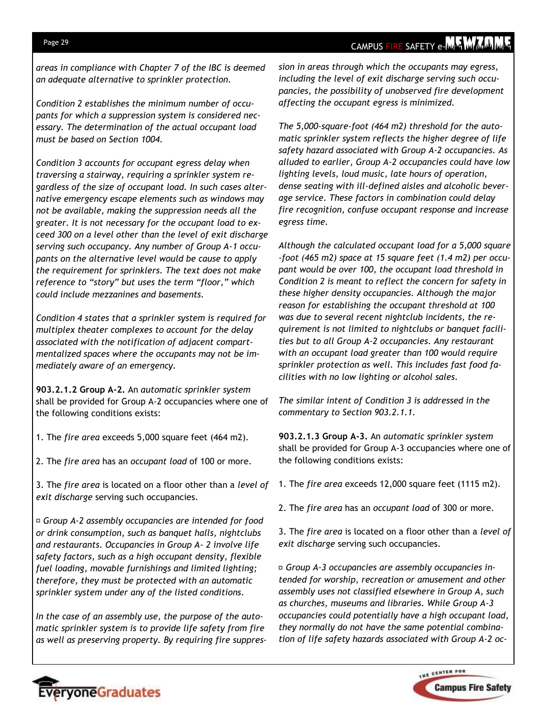*areas in compliance with Chapter 7 of the IBC is deemed an adequate alternative to sprinkler protection.* 

*Condition 2 establishes the minimum number of occupants for which a suppression system is considered necessary. The determination of the actual occupant load must be based on Section 1004.* 

*Condition 3 accounts for occupant egress delay when traversing a stairway, requiring a sprinkler system regardless of the size of occupant load. In such cases alternative emergency escape elements such as windows may not be available, making the suppression needs all the greater. It is not necessary for the occupant load to exceed 300 on a level other than the level of exit discharge serving such occupancy. Any number of Group A-1 occupants on the alternative level would be cause to apply the requirement for sprinklers. The text does not make reference to "story" but uses the term "floor," which could include mezzanines and basements.* 

*Condition 4 states that a sprinkler system is required for multiplex theater complexes to account for the delay associated with the notification of adjacent compartmentalized spaces where the occupants may not be immediately aware of an emergency.* 

**903.2.1.2 Group A-2.** An *automatic sprinkler system*  shall be provided for Group A-2 occupancies where one of the following conditions exists:

- 1. The *fire area* exceeds 5,000 square feet (464 m2).
- 2. The *fire area* has an *occupant load* of 100 or more.

3. The *fire area* is located on a floor other than a *level of exit discharge* serving such occupancies.

*Group A-2 assembly occupancies are intended for food or drink consumption, such as banquet halls, nightclubs and restaurants. Occupancies in Group A- 2 involve life safety factors, such as a high occupant density, flexible fuel loading, movable furnishings and limited lighting; therefore, they must be protected with an automatic sprinkler system under any of the listed conditions.* 

*In the case of an assembly use, the purpose of the automatic sprinkler system is to provide life safety from fire as well as preserving property. By requiring fire suppres-* *sion in areas through which the occupants may egress, including the level of exit discharge serving such occupancies, the possibility of unobserved fire development affecting the occupant egress is minimized.* 

*The 5,000-square-foot (464 m2) threshold for the automatic sprinkler system reflects the higher degree of life safety hazard associated with Group A-2 occupancies. As alluded to earlier, Group A-2 occupancies could have low lighting levels, loud music, late hours of operation, dense seating with ill-defined aisles and alcoholic beverage service. These factors in combination could delay fire recognition, confuse occupant response and increase egress time.* 

*Although the calculated occupant load for a 5,000 square -foot (465 m2) space at 15 square feet (1.4 m2) per occupant would be over 100, the occupant load threshold in Condition 2 is meant to reflect the concern for safety in these higher density occupancies. Although the major reason for establishing the occupant threshold at 100 was due to several recent nightclub incidents, the requirement is not limited to nightclubs or banquet facilities but to all Group A-2 occupancies. Any restaurant with an occupant load greater than 100 would require sprinkler protection as well. This includes fast food facilities with no low lighting or alcohol sales.* 

*The similar intent of Condition 3 is addressed in the commentary to Section 903.2.1.1.* 

**903.2.1.3 Group A-3.** An *automatic sprinkler system*  shall be provided for Group A-3 occupancies where one of the following conditions exists:

- 1. The *fire area* exceeds 12,000 square feet (1115 m2).
- 2. The *fire area* has an *occupant load* of 300 or more.

3. The *fire area* is located on a floor other than a *level of exit discharge* serving such occupancies.

*Group A-3 occupancies are assembly occupancies intended for worship, recreation or amusement and other assembly uses not classified elsewhere in Group A, such as churches, museums and libraries. While Group A-3 occupancies could potentially have a high occupant load, they normally do not have the same potential combination of life safety hazards associated with Group A-2 oc-*



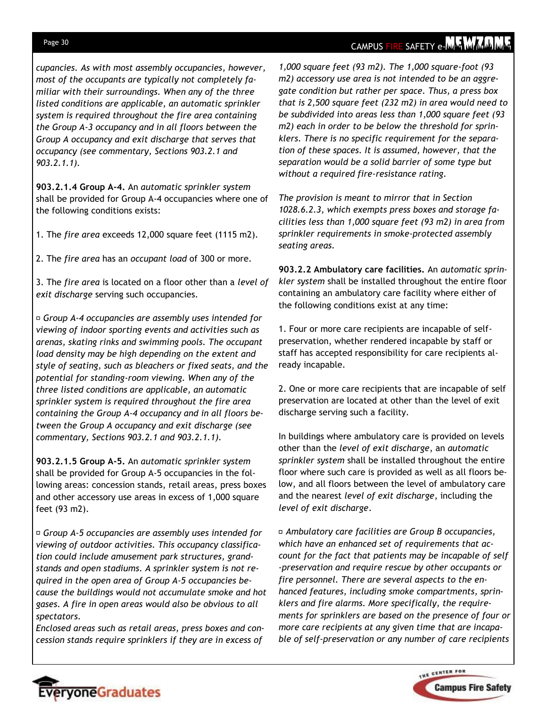#### Page 30

### CAMPUS FIRE SAFETY e-MAY MAY MAY

*cupancies. As with most assembly occupancies, however, most of the occupants are typically not completely familiar with their surroundings. When any of the three listed conditions are applicable, an automatic sprinkler system is required throughout the fire area containing the Group A-3 occupancy and in all floors between the Group A occupancy and exit discharge that serves that occupancy (see commentary, Sections 903.2.1 and 903.2.1.1).* 

**903.2.1.4 Group A-4.** An *automatic sprinkler system*  shall be provided for Group A-4 occupancies where one of the following conditions exists:

1. The *fire area* exceeds 12,000 square feet (1115 m2).

2. The *fire area* has an *occupant load* of 300 or more.

3. The *fire area* is located on a floor other than a *level of exit discharge* serving such occupancies.

*Group A-4 occupancies are assembly uses intended for viewing of indoor sporting events and activities such as arenas, skating rinks and swimming pools. The occupant load density may be high depending on the extent and style of seating, such as bleachers or fixed seats, and the potential for standing-room viewing. When any of the three listed conditions are applicable, an automatic sprinkler system is required throughout the fire area containing the Group A-4 occupancy and in all floors between the Group A occupancy and exit discharge (see commentary, Sections 903.2.1 and 903.2.1.1).* 

**903.2.1.5 Group A-5.** An *automatic sprinkler system*  shall be provided for Group A-5 occupancies in the following areas: concession stands, retail areas, press boxes and other accessory use areas in excess of 1,000 square feet (93 m2).

*Group A-5 occupancies are assembly uses intended for viewing of outdoor activities. This occupancy classification could include amusement park structures, grandstands and open stadiums. A sprinkler system is not required in the open area of Group A-5 occupancies because the buildings would not accumulate smoke and hot gases. A fire in open areas would also be obvious to all spectators.* 

*Enclosed areas such as retail areas, press boxes and concession stands require sprinklers if they are in excess of* 

EveryoneGraduates

*1,000 square feet (93 m2). The 1,000 square-foot (93 m2) accessory use area is not intended to be an aggregate condition but rather per space. Thus, a press box that is 2,500 square feet (232 m2) in area would need to be subdivided into areas less than 1,000 square feet (93 m2) each in order to be below the threshold for sprinklers. There is no specific requirement for the separation of these spaces. It is assumed, however, that the separation would be a solid barrier of some type but without a required fire-resistance rating.* 

*The provision is meant to mirror that in Section 1028.6.2.3, which exempts press boxes and storage facilities less than 1,000 square feet (93 m2) in area from sprinkler requirements in smoke-protected assembly seating areas.* 

**903.2.2 Ambulatory care facilities.** An *automatic sprinkler system* shall be installed throughout the entire floor containing an ambulatory care facility where either of the following conditions exist at any time:

1. Four or more care recipients are incapable of selfpreservation, whether rendered incapable by staff or staff has accepted responsibility for care recipients already incapable.

2. One or more care recipients that are incapable of self preservation are located at other than the level of exit discharge serving such a facility.

In buildings where ambulatory care is provided on levels other than the *level of exit discharge*, an *automatic sprinkler system* shall be installed throughout the entire floor where such care is provided as well as all floors below, and all floors between the level of ambulatory care and the nearest *level of exit discharge*, including the *level of exit discharge*.

*Ambulatory care facilities are Group B occupancies, which have an enhanced set of requirements that account for the fact that patients may be incapable of self -preservation and require rescue by other occupants or fire personnel. There are several aspects to the enhanced features, including smoke compartments, sprinklers and fire alarms. More specifically, the requirements for sprinklers are based on the presence of four or more care recipients at any given time that are incapable of self-preservation or any number of care recipients* 

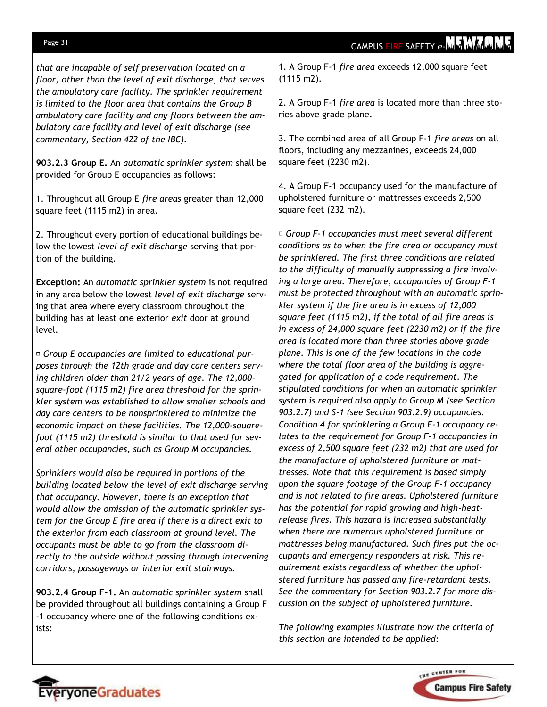#### Page 31

*that are incapable of self preservation located on a floor, other than the level of exit discharge, that serves the ambulatory care facility. The sprinkler requirement is limited to the floor area that contains the Group B ambulatory care facility and any floors between the ambulatory care facility and level of exit discharge (see commentary, Section 422 of the IBC).* 

**903.2.3 Group E.** An *automatic sprinkler system* shall be provided for Group E occupancies as follows:

1. Throughout all Group E *fire areas* greater than 12,000 square feet (1115 m2) in area.

2. Throughout every portion of educational buildings below the lowest *level of exit discharge* serving that portion of the building.

**Exception:** An *automatic sprinkler system* is not required in any area below the lowest *level of exit discharge* serving that area where every classroom throughout the building has at least one exterior *exit* door at ground level.

*Group E occupancies are limited to educational purposes through the 12th grade and day care centers serving children older than 21/2 years of age. The 12,000 square-foot (1115 m2) fire area threshold for the sprinkler system was established to allow smaller schools and day care centers to be nonsprinklered to minimize the economic impact on these facilities. The 12,000-squarefoot (1115 m2) threshold is similar to that used for several other occupancies, such as Group M occupancies.* 

*Sprinklers would also be required in portions of the building located below the level of exit discharge serving that occupancy. However, there is an exception that would allow the omission of the automatic sprinkler system for the Group E fire area if there is a direct exit to the exterior from each classroom at ground level. The occupants must be able to go from the classroom directly to the outside without passing through intervening corridors, passageways or interior exit stairways.* 

**903.2.4 Group F-1.** An *automatic sprinkler system* shall be provided throughout all buildings containing a Group F -1 occupancy where one of the following conditions exists:

1. A Group F-1 *fire area* exceeds 12,000 square feet (1115 m2).

2. A Group F-1 *fire area* is located more than three stories above grade plane.

3. The combined area of all Group F-1 *fire areas* on all floors, including any mezzanines, exceeds 24,000 square feet (2230 m2).

4. A Group F-1 occupancy used for the manufacture of upholstered furniture or mattresses exceeds 2,500 square feet (232 m2).

*Group F-1 occupancies must meet several different conditions as to when the fire area or occupancy must be sprinklered. The first three conditions are related to the difficulty of manually suppressing a fire involving a large area. Therefore, occupancies of Group F-1 must be protected throughout with an automatic sprinkler system if the fire area is in excess of 12,000 square feet (1115 m2), if the total of all fire areas is in excess of 24,000 square feet (2230 m2) or if the fire area is located more than three stories above grade plane. This is one of the few locations in the code where the total floor area of the building is aggregated for application of a code requirement. The stipulated conditions for when an automatic sprinkler system is required also apply to Group M (see Section 903.2.7) and S-1 (see Section 903.2.9) occupancies. Condition 4 for sprinklering a Group F-1 occupancy relates to the requirement for Group F-1 occupancies in excess of 2,500 square feet (232 m2) that are used for the manufacture of upholstered furniture or mattresses. Note that this requirement is based simply upon the square footage of the Group F-1 occupancy and is not related to fire areas. Upholstered furniture has the potential for rapid growing and high-heatrelease fires. This hazard is increased substantially when there are numerous upholstered furniture or mattresses being manufactured. Such fires put the occupants and emergency responders at risk. This requirement exists regardless of whether the upholstered furniture has passed any fire-retardant tests. See the commentary for Section 903.2.7 for more discussion on the subject of upholstered furniture.* 

*The following examples illustrate how the criteria of this section are intended to be applied:*